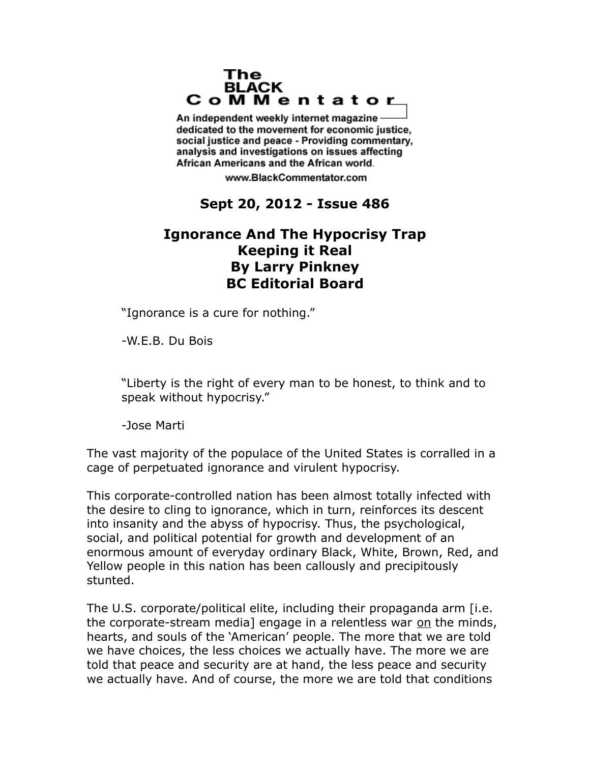## The **BLACK** CoMMentator

An independent weekly internet magazine dedicated to the movement for economic justice. social justice and peace - Providing commentary, analysis and investigations on issues affecting African Americans and the African world.

www.BlackCommentator.com

## **Sept 20, 2012 - Issue 486**

## **Ignorance And The Hypocrisy Trap Keeping it Real By Larry Pinkney BC Editorial Board**

"Ignorance is a cure for nothing."

-W.E.B. Du Bois

"Liberty is the right of every man to be honest, to think and to speak without hypocrisy."

-Jose Marti

The vast majority of the populace of the United States is corralled in a cage of perpetuated ignorance and virulent hypocrisy.

This corporate-controlled nation has been almost totally infected with the desire to cling to ignorance, which in turn, reinforces its descent into insanity and the abyss of hypocrisy. Thus, the psychological, social, and political potential for growth and development of an enormous amount of everyday ordinary Black, White, Brown, Red, and Yellow people in this nation has been callously and precipitously stunted.

The U.S. corporate/political elite, including their propaganda arm [i.e. the corporate-stream media] engage in a relentless war on the minds, hearts, and souls of the 'American' people. The more that we are told we have choices, the less choices we actually have. The more we are told that peace and security are at hand, the less peace and security we actually have. And of course, the more we are told that conditions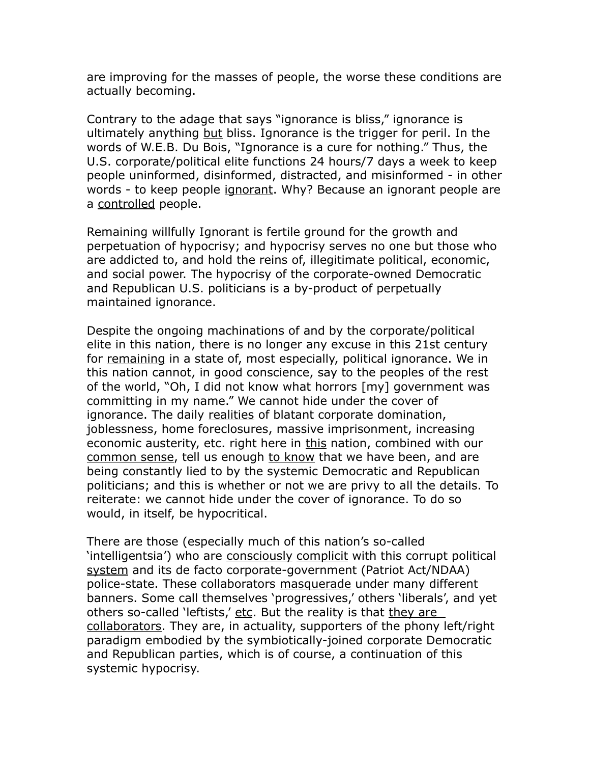are improving for the masses of people, the worse these conditions are actually becoming.

Contrary to the adage that says "ignorance is bliss," ignorance is ultimately anything but bliss. Ignorance is the trigger for peril. In the words of W.E.B. Du Bois, "Ignorance is a cure for nothing." Thus, the U.S. corporate/political elite functions 24 hours/7 days a week to keep people uninformed, disinformed, distracted, and misinformed - in other words - to keep people ignorant. Why? Because an ignorant people are a controlled people.

Remaining willfully Ignorant is fertile ground for the growth and perpetuation of hypocrisy; and hypocrisy serves no one but those who are addicted to, and hold the reins of, illegitimate political, economic, and social power. The hypocrisy of the corporate-owned Democratic and Republican U.S. politicians is a by-product of perpetually maintained ignorance.

Despite the ongoing machinations of and by the corporate/political elite in this nation, there is no longer any excuse in this 21st century for remaining in a state of, most especially, political ignorance. We in this nation cannot, in good conscience, say to the peoples of the rest of the world, "Oh, I did not know what horrors [my] government was committing in my name." We cannot hide under the cover of ignorance. The daily realities of blatant corporate domination, joblessness, home foreclosures, massive imprisonment, increasing economic austerity, etc. right here in this nation, combined with our common sense, tell us enough to know that we have been, and are being constantly lied to by the systemic Democratic and Republican politicians; and this is whether or not we are privy to all the details. To reiterate: we cannot hide under the cover of ignorance. To do so would, in itself, be hypocritical.

There are those (especially much of this nation's so-called 'intelligentsia') who are consciously complicit with this corrupt political system and its de facto corporate-government (Patriot Act/NDAA) police-state. These collaborators masquerade under many different banners. Some call themselves 'progressives,' others 'liberals', and yet others so-called 'leftists,' etc. But the reality is that they are collaborators. They are, in actuality, supporters of the phony left/right paradigm embodied by the symbiotically-joined corporate Democratic and Republican parties, which is of course, a continuation of this systemic hypocrisy.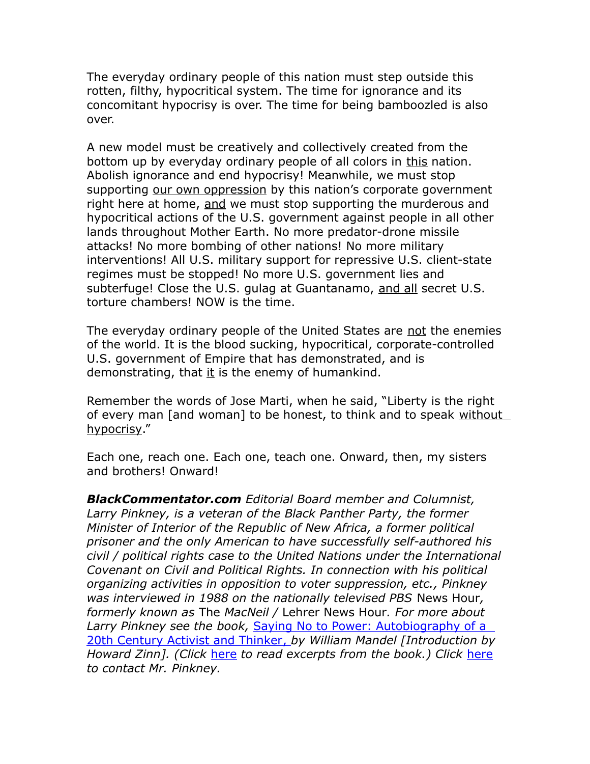The everyday ordinary people of this nation must step outside this rotten, filthy, hypocritical system. The time for ignorance and its concomitant hypocrisy is over. The time for being bamboozled is also over.

A new model must be creatively and collectively created from the bottom up by everyday ordinary people of all colors in this nation. Abolish ignorance and end hypocrisy! Meanwhile, we must stop supporting our own oppression by this nation's corporate government right here at home, and we must stop supporting the murderous and hypocritical actions of the U.S. government against people in all other lands throughout Mother Earth. No more predator-drone missile attacks! No more bombing of other nations! No more military interventions! All U.S. military support for repressive U.S. client-state regimes must be stopped! No more U.S. government lies and subterfuge! Close the U.S. gulag at Guantanamo, and all secret U.S. torture chambers! NOW is the time.

The everyday ordinary people of the United States are not the enemies of the world. It is the blood sucking, hypocritical, corporate-controlled U.S. government of Empire that has demonstrated, and is demonstrating, that it is the enemy of humankind.

Remember the words of Jose Marti, when he said, "Liberty is the right of every man [and woman] to be honest, to think and to speak without hypocrisy."

Each one, reach one. Each one, teach one. Onward, then, my sisters and brothers! Onward!

*BlackCommentator.com Editorial Board member and Columnist, Larry Pinkney, is a veteran of the Black Panther Party, the former Minister of Interior of the Republic of New Africa, a former political prisoner and the only American to have successfully self-authored his civil / political rights case to the United Nations under the International Covenant on Civil and Political Rights. In connection with his political organizing activities in opposition to voter suppression, etc., Pinkney was interviewed in 1988 on the nationally televised PBS* News Hour*, formerly known as* The *MacNeil /* Lehrer News Hour*. For more about Larry Pinkney see the book,* [Saying No to Power: Autobiography of a](http://www.amazon.com/gp/product/0887392865/ref=as_li_tf_tl?ie=UTF8&tag=blackcommenta-20&link_code=as3&camp=211189&creative=373489&creativeASIN=0887392865)   [20th Century Activist and Thinker ,](http://www.amazon.com/gp/product/0887392865/ref=as_li_tf_tl?ie=UTF8&tag=blackcommenta-20&link_code=as3&camp=211189&creative=373489&creativeASIN=0887392865) *by William Mandel [Introduction by Howard Zinn]. (Click* [here](http://www.struggle-and-win.net/13201/43480.html) *to read excerpts from the book.) Click* [here](http://www.blackcommentator.com/contact_forms/larry_pinkney/gbcf_form.php) *to contact Mr. Pinkney.*